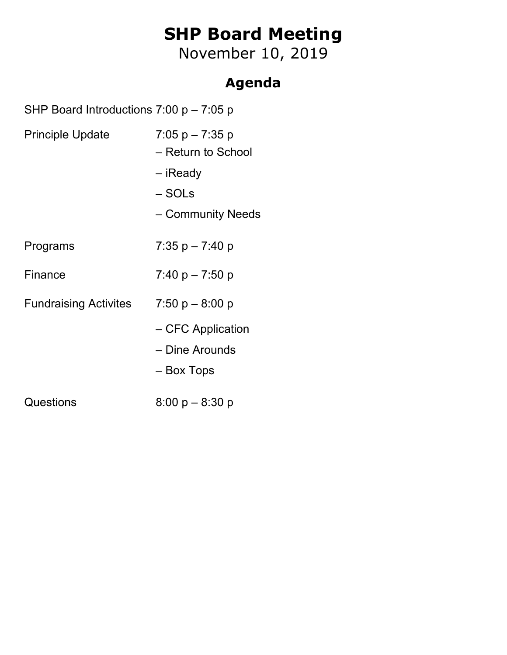# **SHP Board Meeting**

November 10, 2019

### **Agenda**

SHP Board Introductions 7:00 p – 7:05 p

| <b>Principle Update</b> | $7:05$ p $-7:35$ p<br>- Return to School<br>– iReady<br>– SOLs<br>- Community Needs |  |  |  |
|-------------------------|-------------------------------------------------------------------------------------|--|--|--|
| Programs                | 7:35 p – 7:40 p                                                                     |  |  |  |
| Finance                 | $7:40 p - 7:50 p$                                                                   |  |  |  |
| Fundraising Activites   | $7:50 p - 8:00 p$                                                                   |  |  |  |
|                         | - CFC Application<br>- Dine Arounds<br>– Box Tops                                   |  |  |  |
| Questions               | $8:00 p - 8:30 p$                                                                   |  |  |  |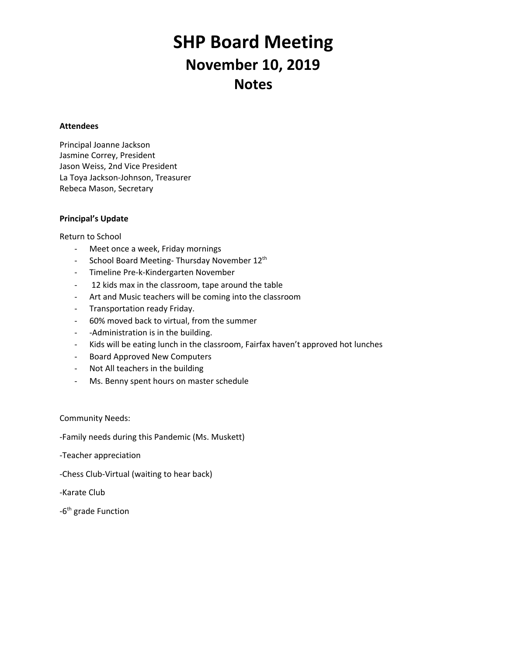## **SHP Board Meeting November 10, 2019 Notes**

#### **Attendees**

Principal Joanne Jackson Jasmine Correy, President Jason Weiss, 2nd Vice President La Toya Jackson-Johnson, Treasurer Rebeca Mason, Secretary

### **Principal's Update**

Return to School

- Meet once a week, Friday mornings
- School Board Meeting-Thursday November 12<sup>th</sup>
- Timeline Pre-k-Kindergarten November
- 12 kids max in the classroom, tape around the table
- Art and Music teachers will be coming into the classroom
- Transportation ready Friday.
- 60% moved back to virtual, from the summer
- -Administration is in the building.
- Kids will be eating lunch in the classroom, Fairfax haven't approved hot lunches
- Board Approved New Computers
- Not All teachers in the building
- Ms. Benny spent hours on master schedule

Community Needs:

-Family needs during this Pandemic (Ms. Muskett)

-Teacher appreciation

-Chess Club-Virtual (waiting to hear back)

-Karate Club

-6<sup>th</sup> grade Function